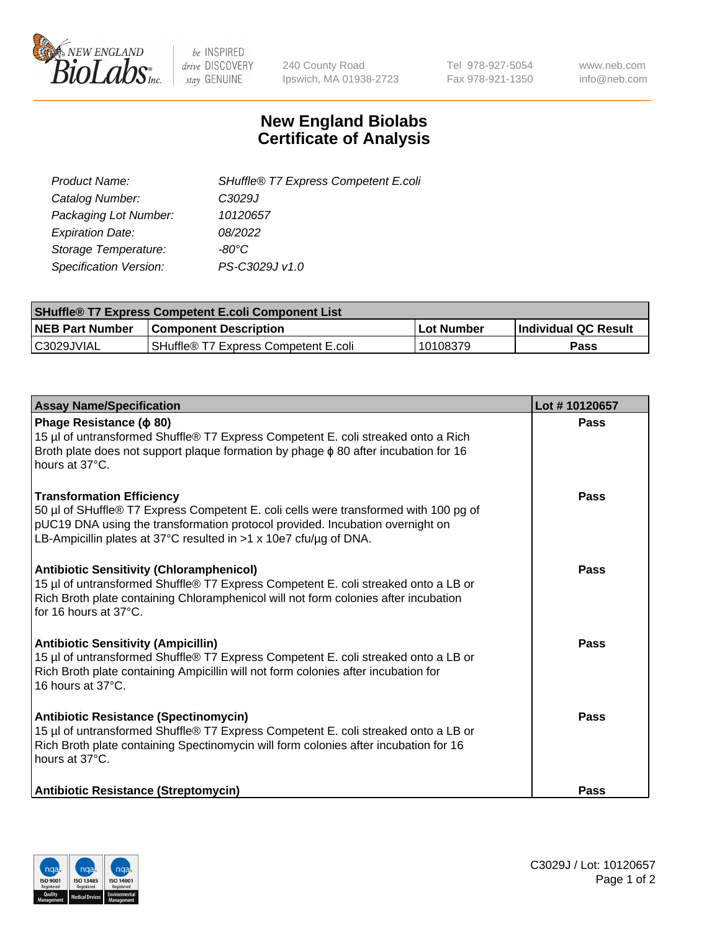

 $be$  INSPIRED drive DISCOVERY stay GENUINE

240 County Road Ipswich, MA 01938-2723 Tel 978-927-5054 Fax 978-921-1350 www.neb.com info@neb.com

## **New England Biolabs Certificate of Analysis**

| SHuffle® T7 Express Competent E.coli |
|--------------------------------------|
| C3029J                               |
| 10120657                             |
| 08/2022                              |
| -80°C.                               |
| PS-C3029J v1.0                       |
|                                      |

| <b>SHuffle<sup>®</sup> T7 Express Competent E.coli Component List</b> |                                      |            |                             |  |
|-----------------------------------------------------------------------|--------------------------------------|------------|-----------------------------|--|
| <b>NEB Part Number</b>                                                | <b>Component Description</b>         | Lot Number | <b>Individual QC Result</b> |  |
| C3029JVIAL                                                            | SHuffle® T7 Express Competent E.coli | 10108379   | <b>Pass</b>                 |  |

| <b>Assay Name/Specification</b>                                                                                                                                                                                                                                                | Lot #10120657 |
|--------------------------------------------------------------------------------------------------------------------------------------------------------------------------------------------------------------------------------------------------------------------------------|---------------|
| Phage Resistance ( $\phi$ 80)<br>15 µl of untransformed Shuffle® T7 Express Competent E. coli streaked onto a Rich<br>Broth plate does not support plaque formation by phage $\phi$ 80 after incubation for 16<br>hours at 37°C.                                               | Pass          |
| <b>Transformation Efficiency</b><br>50 µl of SHuffle® T7 Express Competent E. coli cells were transformed with 100 pg of<br>pUC19 DNA using the transformation protocol provided. Incubation overnight on<br>LB-Ampicillin plates at 37°C resulted in >1 x 10e7 cfu/µg of DNA. | Pass          |
| <b>Antibiotic Sensitivity (Chloramphenicol)</b><br>15 µl of untransformed Shuffle® T7 Express Competent E. coli streaked onto a LB or<br>Rich Broth plate containing Chloramphenicol will not form colonies after incubation<br>for 16 hours at 37°C.                          | Pass          |
| <b>Antibiotic Sensitivity (Ampicillin)</b><br>15 µl of untransformed Shuffle® T7 Express Competent E. coli streaked onto a LB or<br>Rich Broth plate containing Ampicillin will not form colonies after incubation for<br>16 hours at 37°C.                                    | Pass          |
| <b>Antibiotic Resistance (Spectinomycin)</b><br>15 µl of untransformed Shuffle® T7 Express Competent E. coli streaked onto a LB or<br>Rich Broth plate containing Spectinomycin will form colonies after incubation for 16<br>hours at 37°C.                                   | Pass          |
| Antibiotic Resistance (Streptomycin)                                                                                                                                                                                                                                           | <b>Pass</b>   |